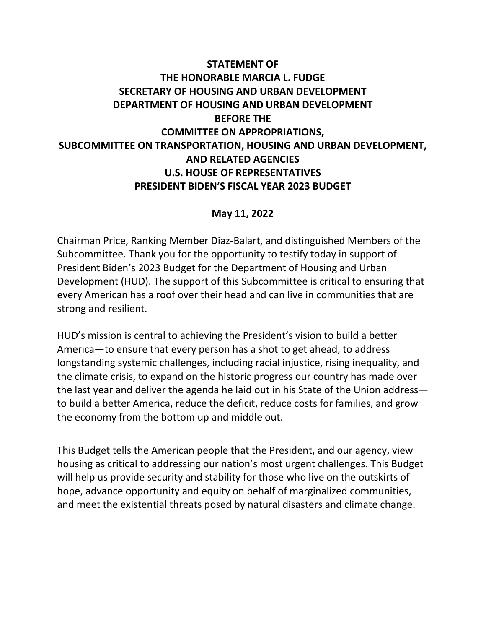## **STATEMENT OF THE HONORABLE MARCIA L. FUDGE SECRETARY OF HOUSING AND URBAN DEVELOPMENT DEPARTMENT OF HOUSING AND URBAN DEVELOPMENT BEFORE THE COMMITTEE ON APPROPRIATIONS, SUBCOMMITTEE ON TRANSPORTATION, HOUSING AND URBAN DEVELOPMENT, AND RELATED AGENCIES U.S. HOUSE OF REPRESENTATIVES PRESIDENT BIDEN'S FISCAL YEAR 2023 BUDGET**

#### **May 11, 2022**

Chairman Price, Ranking Member Diaz-Balart, and distinguished Members of the Subcommittee. Thank you for the opportunity to testify today in support of President Biden's 2023 Budget for the Department of Housing and Urban Development (HUD). The support of this Subcommittee is critical to ensuring that every American has a roof over their head and can live in communities that are strong and resilient.

HUD's mission is central to achieving the President's vision to build a better America—to ensure that every person has a shot to get ahead, to address longstanding systemic challenges, including racial injustice, rising inequality, and the climate crisis, to expand on the historic progress our country has made over the last year and deliver the agenda he laid out in his State of the Union address to build a better America, reduce the deficit, reduce costs for families, and grow the economy from the bottom up and middle out.

This Budget tells the American people that the President, and our agency, view housing as critical to addressing our nation's most urgent challenges. This Budget will help us provide security and stability for those who live on the outskirts of hope, advance opportunity and equity on behalf of marginalized communities, and meet the existential threats posed by natural disasters and climate change.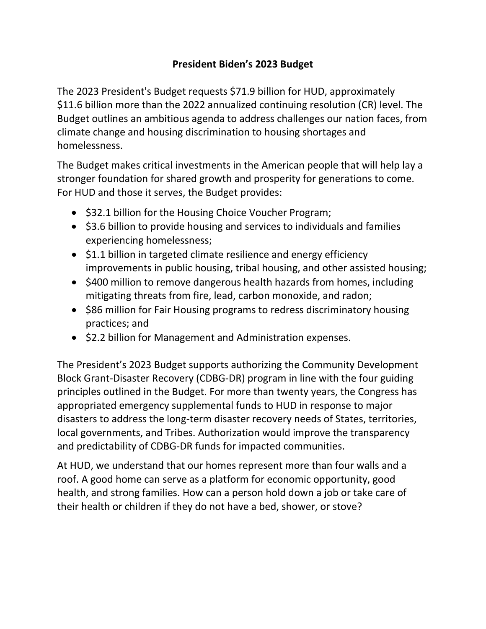### **President Biden's 2023 Budget**

The 2023 President's Budget requests \$71.9 billion for HUD, approximately \$11.6 billion more than the 2022 annualized continuing resolution (CR) level. The Budget outlines an ambitious agenda to address challenges our nation faces, from climate change and housing discrimination to housing shortages and homelessness.

The Budget makes critical investments in the American people that will help lay a stronger foundation for shared growth and prosperity for generations to come. For HUD and those it serves, the Budget provides:

- \$32.1 billion for the Housing Choice Voucher Program;
- \$3.6 billion to provide housing and services to individuals and families experiencing homelessness;
- \$1.1 billion in targeted climate resilience and energy efficiency improvements in public housing, tribal housing, and other assisted housing;
- \$400 million to remove dangerous health hazards from homes, including mitigating threats from fire, lead, carbon monoxide, and radon;
- \$86 million for Fair Housing programs to redress discriminatory housing practices; and
- \$2.2 billion for Management and Administration expenses.

The President's 2023 Budget supports authorizing the Community Development Block Grant-Disaster Recovery (CDBG-DR) program in line with the four guiding principles outlined in the Budget. For more than twenty years, the Congress has appropriated emergency supplemental funds to HUD in response to major disasters to address the long-term disaster recovery needs of States, territories, local governments, and Tribes. Authorization would improve the transparency and predictability of CDBG-DR funds for impacted communities.

At HUD, we understand that our homes represent more than four walls and a roof. A good home can serve as a platform for economic opportunity, good health, and strong families. How can a person hold down a job or take care of their health or children if they do not have a bed, shower, or stove?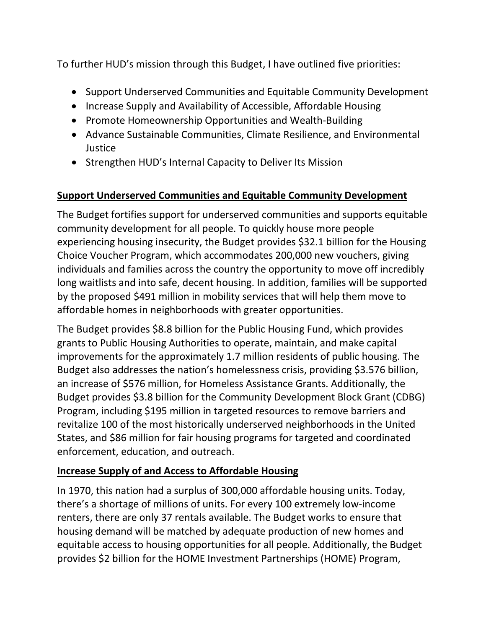To further HUD's mission through this Budget, I have outlined five priorities:

- Support Underserved Communities and Equitable Community Development
- Increase Supply and Availability of Accessible, Affordable Housing
- Promote Homeownership Opportunities and Wealth-Building
- Advance Sustainable Communities, Climate Resilience, and Environmental Justice
- Strengthen HUD's Internal Capacity to Deliver Its Mission

#### **Support Underserved Communities and Equitable Community Development**

The Budget fortifies support for underserved communities and supports equitable community development for all people. To quickly house more people experiencing housing insecurity, the Budget provides \$32.1 billion for the Housing Choice Voucher Program, which accommodates 200,000 new vouchers, giving individuals and families across the country the opportunity to move off incredibly long waitlists and into safe, decent housing. In addition, families will be supported by the proposed \$491 million in mobility services that will help them move to affordable homes in neighborhoods with greater opportunities.

The Budget provides \$8.8 billion for the Public Housing Fund, which provides grants to Public Housing Authorities to operate, maintain, and make capital improvements for the approximately 1.7 million residents of public housing. The Budget also addresses the nation's homelessness crisis, providing \$3.576 billion, an increase of \$576 million, for Homeless Assistance Grants. Additionally, the Budget provides \$3.8 billion for the Community Development Block Grant (CDBG) Program, including \$195 million in targeted resources to remove barriers and revitalize 100 of the most historically underserved neighborhoods in the United States, and \$86 million for fair housing programs for targeted and coordinated enforcement, education, and outreach.

## **Increase Supply of and Access to Affordable Housing**

In 1970, this nation had a surplus of 300,000 affordable housing units. Today, there's a shortage of millions of units. For every 100 extremely low-income renters, there are only 37 rentals available. The Budget works to ensure that housing demand will be matched by adequate production of new homes and equitable access to housing opportunities for all people. Additionally, the Budget provides \$2 billion for the HOME Investment Partnerships (HOME) Program,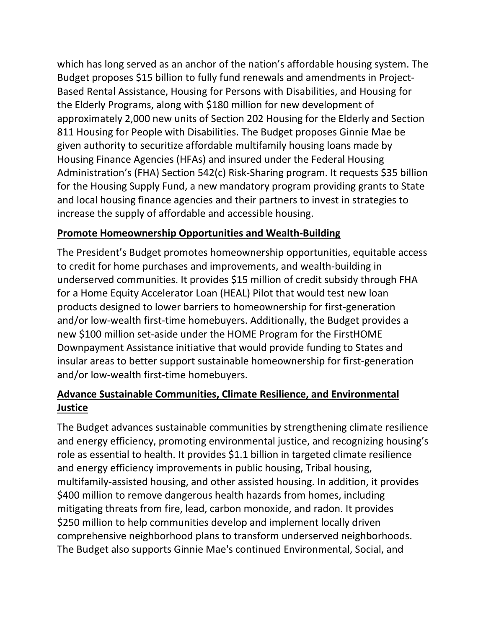which has long served as an anchor of the nation's affordable housing system. The Budget proposes \$15 billion to fully fund renewals and amendments in Project-Based Rental Assistance, Housing for Persons with Disabilities, and Housing for the Elderly Programs, along with \$180 million for new development of approximately 2,000 new units of Section 202 Housing for the Elderly and Section 811 Housing for People with Disabilities. The Budget proposes Ginnie Mae be given authority to securitize affordable multifamily housing loans made by Housing Finance Agencies (HFAs) and insured under the Federal Housing Administration's (FHA) Section 542(c) Risk-Sharing program. It requests \$35 billion for the Housing Supply Fund, a new mandatory program providing grants to State and local housing finance agencies and their partners to invest in strategies to increase the supply of affordable and accessible housing.

## **Promote Homeownership Opportunities and Wealth-Building**

The President's Budget promotes homeownership opportunities, equitable access to credit for home purchases and improvements, and wealth-building in underserved communities. It provides \$15 million of credit subsidy through FHA for a Home Equity Accelerator Loan (HEAL) Pilot that would test new loan products designed to lower barriers to homeownership for first-generation and/or low-wealth first-time homebuyers. Additionally, the Budget provides a new \$100 million set-aside under the HOME Program for the FirstHOME Downpayment Assistance initiative that would provide funding to States and insular areas to better support sustainable homeownership for first-generation and/or low-wealth first-time homebuyers.

# **Advance Sustainable Communities, Climate Resilience, and Environmental Justice**

The Budget advances sustainable communities by strengthening climate resilience and energy efficiency, promoting environmental justice, and recognizing housing's role as essential to health. It provides \$1.1 billion in targeted climate resilience and energy efficiency improvements in public housing, Tribal housing, multifamily-assisted housing, and other assisted housing. In addition, it provides \$400 million to remove dangerous health hazards from homes, including mitigating threats from fire, lead, carbon monoxide, and radon. It provides \$250 million to help communities develop and implement locally driven comprehensive neighborhood plans to transform underserved neighborhoods. The Budget also supports Ginnie Mae's continued Environmental, Social, and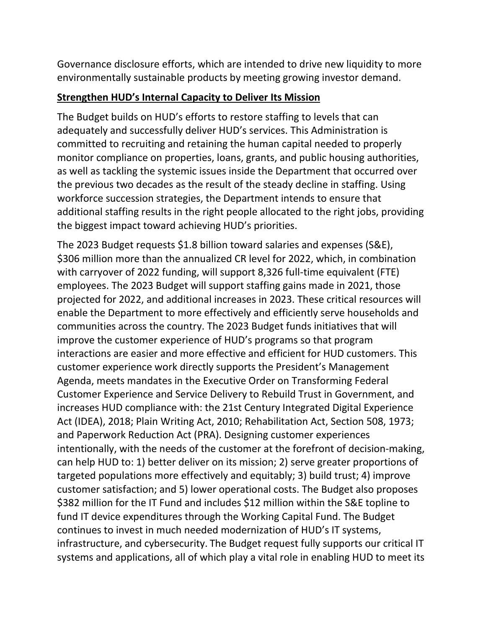Governance disclosure efforts, which are intended to drive new liquidity to more environmentally sustainable products by meeting growing investor demand.

#### **Strengthen HUD's Internal Capacity to Deliver Its Mission**

The Budget builds on HUD's efforts to restore staffing to levels that can adequately and successfully deliver HUD's services. This Administration is committed to recruiting and retaining the human capital needed to properly monitor compliance on properties, loans, grants, and public housing authorities, as well as tackling the systemic issues inside the Department that occurred over the previous two decades as the result of the steady decline in staffing. Using workforce succession strategies, the Department intends to ensure that additional staffing results in the right people allocated to the right jobs, providing the biggest impact toward achieving HUD's priorities.

The 2023 Budget requests \$1.8 billion toward salaries and expenses (S&E), \$306 million more than the annualized CR level for 2022, which, in combination with carryover of 2022 funding, will support 8,326 full-time equivalent (FTE) employees. The 2023 Budget will support staffing gains made in 2021, those projected for 2022, and additional increases in 2023. These critical resources will enable the Department to more effectively and efficiently serve households and communities across the country. The 2023 Budget funds initiatives that will improve the customer experience of HUD's programs so that program interactions are easier and more effective and efficient for HUD customers. This customer experience work directly supports the President's Management Agenda, meets mandates in the Executive Order on Transforming Federal Customer Experience and Service Delivery to Rebuild Trust in Government, and increases HUD compliance with: the 21st Century Integrated Digital Experience Act (IDEA), 2018; Plain Writing Act, 2010; Rehabilitation Act, Section 508, 1973; and Paperwork Reduction Act (PRA). Designing customer experiences intentionally, with the needs of the customer at the forefront of decision-making, can help HUD to: 1) better deliver on its mission; 2) serve greater proportions of targeted populations more effectively and equitably; 3) build trust; 4) improve customer satisfaction; and 5) lower operational costs. The Budget also proposes \$382 million for the IT Fund and includes \$12 million within the S&E topline to fund IT device expenditures through the Working Capital Fund. The Budget continues to invest in much needed modernization of HUD's IT systems, infrastructure, and cybersecurity. The Budget request fully supports our critical IT systems and applications, all of which play a vital role in enabling HUD to meet its